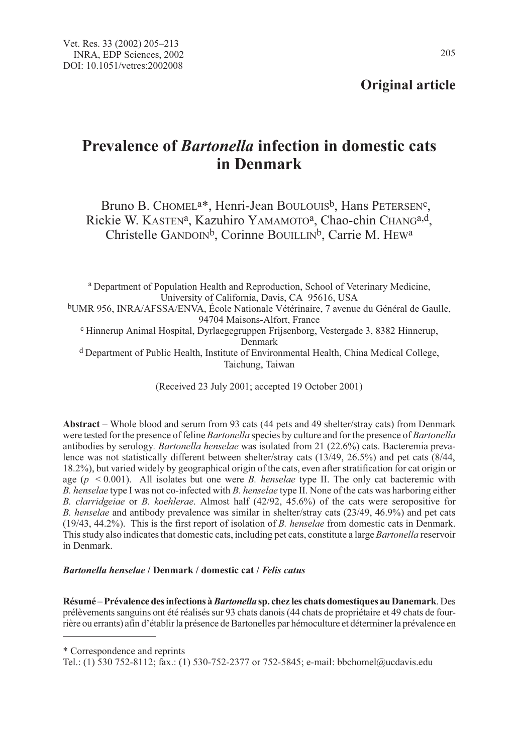205

# Prevalence of Bartonella infection in domestic cats in Denmark

Bruno B. CHOMEL<sup>a\*</sup>, Henri-Jean BOULOUIS<sup>b</sup>, Hans PETERSEN<sup>c</sup>, Rickie W. KASTEN<sup>a</sup>, Kazuhiro YAMAMOTO<sup>a</sup>, Chao-chin CHANG<sup>a,d</sup>, Christelle GANDOIN<sup>b</sup>, Corinne BOUILLIN<sup>b</sup>, Carrie M. HEW<sup>a</sup>

<sup>a</sup> Department of Population Health and Reproduction, School of Veterinary Medicine, University of California, Davis, CA 95616, USA bUMR 956, INRA/AFSSA/ENVA, École Nationale Vétérinaire, 7 avenue du Général de Gaulle, 94704 Maisons-Alfort, France c Hinnerup Animal Hospital, Dyrlaegegruppen Frijsenborg, Vestergade 3, 8382 Hinnerup, Denmark <sup>d</sup> Department of Public Health, Institute of Environmental Health, China Medical College, Taichung, Taiwan

(Received 23 July 2001; accepted 19 October 2001)

Abstract – Whole blood and serum from 93 cats (44 pets and 49 shelter/stray cats) from Denmark were tested for the presence of feline *Bartonella* species by culture and for the presence of *Bartonella* antibodies by serology. Bartonella henselae was isolated from 21 (22.6%) cats. Bacteremia prevalence was not statistically different between shelter/stray cats (13/49, 26.5%) and pet cats (8/44, 18.2%), but varied widely by geographical origin of the cats, even after stratification for cat origin or age ( $p \le 0.001$ ). All isolates but one were B, henselae type II. The only cat bacteremic with B. henselae type I was not co-infected with B. henselae type II. None of the cats was harboring either B. clarridgeiae or B. koehlerae. Almost half (42/92, 45.6%) of the cats were seropositive for B. henselae and antibody prevalence was similar in shelter/stray cats (23/49, 46.9%) and pet cats (19/43, 44.2%). This is the first report of isolation of B. henselae from domestic cats in Denmark. This study also indicates that domestic cats, including pet cats, constitute a large Bartonella reservoir in Denmark.

# Bartonella henselae / Denmark / domestic cat / Felis catus

Résumé – Prévalence des infections à Bartonella sp. chez les chats domestiques au Danemark. Des prélèvements sanguins ont été réalisés sur 93 chats danois (44 chats de propriétaire et 49 chats de fourrière ou errants) afin d'établir la présence de Bartonelles par hémoculture et déterminer la prévalence en

<sup>\*</sup> Correspondence and reprints

Tel.: (1) 530 752-8112; fax.: (1) 530-752-2377 or 752-5845; e-mail: bbchomel@ucdavis.edu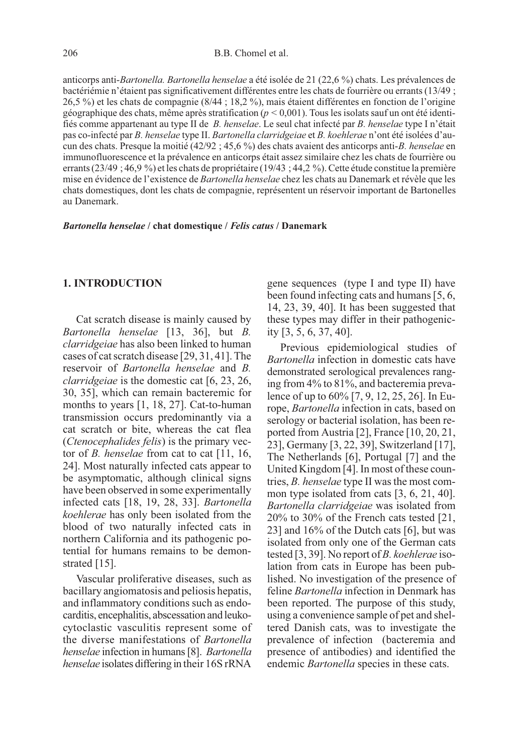anticorps anti-Bartonella. Bartonella henselae a été isolée de 21 (22,6 %) chats. Les prévalences de bactériémie n'étaient pas significativement différentes entre les chats de fourrière ou errants (13/49 ; 26,5 %) et les chats de compagnie (8/44 ; 18,2 %), mais étaient différentes en fonction de l'origine géographique des chats, même après stratification ( $p < 0.001$ ). Tous les isolats sauf un ont été identifiés comme appartenant au type II de B. henselae. Le seul chat infecté par B. henselae type I n'était pas co-infecté par B. henselae type II. Bartonella clarridgeiae et B. koehlerae n'ont été isolées d'aucun des chats. Presque la moitié (42/92 ; 45,6 %) des chats avaient des anticorps anti-B. henselae en immunofluorescence et la prévalence en anticorps était assez similaire chez les chats de fourrière ou errants (23/49 ; 46,9 %) et les chats de propriétaire (19/43 ; 44,2 %). Cette étude constitue la première mise en évidence de l'existence de Bartonella henselae chez les chats au Danemark et révèle que les chats domestiques, dont les chats de compagnie, représentent un réservoir important de Bartonelles au Danemark.

Bartonella henselae / chat domestique / Felis catus / Danemark

## 1. INTRODUCTION

Cat scratch disease is mainly caused by Bartonella henselae [13, 36], but B. clarridgeiae has also been linked to human cases of cat scratch disease [29, 31, 41]. The reservoir of Bartonella henselae and B. clarridgeiae is the domestic cat [6, 23, 26, 30, 35], which can remain bacteremic for months to years [1, 18, 27]. Cat-to-human transmission occurs predominantly via a cat scratch or bite, whereas the cat flea (Ctenocephalides felis) is the primary vector of B. henselae from cat to cat [11, 16, 24]. Most naturally infected cats appear to be asymptomatic, although clinical signs have been observed in some experimentally infected cats [18, 19, 28, 33]. Bartonella koehlerae has only been isolated from the blood of two naturally infected cats in northern California and its pathogenic potential for humans remains to be demonstrated [15].

Vascular proliferative diseases, such as bacillary angiomatosis and peliosis hepatis, and inflammatory conditions such as endocarditis, encephalitis, abscessation and leukocytoclastic vasculitis represent some of the diverse manifestations of Bartonella henselae infection in humans [8]. Bartonella henselae isolates differing in their 16S rRNA gene sequences (type I and type II) have been found infecting cats and humans [5, 6, 14, 23, 39, 40]. It has been suggested that these types may differ in their pathogenicity [3, 5, 6, 37, 40].

Previous epidemiological studies of Bartonella infection in domestic cats have demonstrated serological prevalences ranging from 4% to 81%, and bacteremia prevalence of up to 60% [7, 9, 12, 25, 26]. In Europe, Bartonella infection in cats, based on serology or bacterial isolation, has been reported from Austria [2], France [10, 20, 21, 23], Germany [3, 22, 39], Switzerland [17], The Netherlands [6], Portugal [7] and the United Kingdom [4]. In most of these countries, B. henselae type II was the most common type isolated from cats [3, 6, 21, 40]. Bartonella clarridgeiae was isolated from 20% to 30% of the French cats tested [21, 23] and 16% of the Dutch cats [6], but was isolated from only one of the German cats tested [3, 39]. No report of B. koehlerae isolation from cats in Europe has been published. No investigation of the presence of feline Bartonella infection in Denmark has been reported. The purpose of this study, using a convenience sample of pet and sheltered Danish cats, was to investigate the prevalence of infection (bacteremia and presence of antibodies) and identified the endemic Bartonella species in these cats.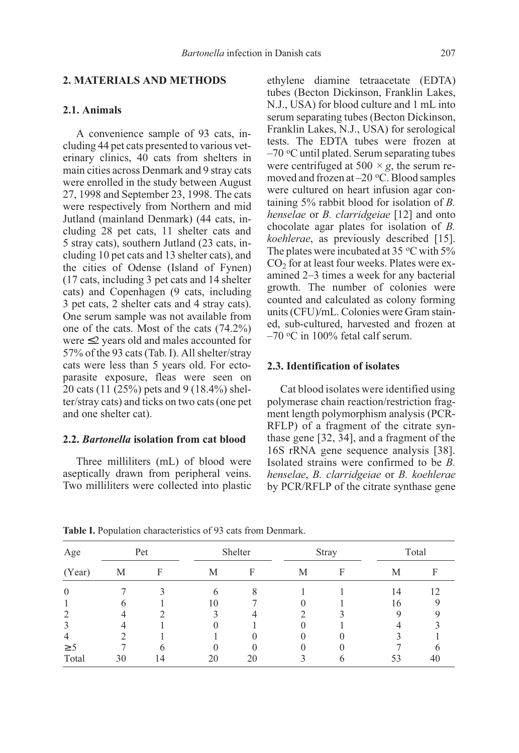# 2.1. Animals

A convenience sample of 93 cats, including 44 pet cats presented to various veterinary clinics, 40 cats from shelters in main cities across Denmark and 9 stray cats were enrolled in the study between August 27, 1998 and September 23, 1998. The cats were respectively from Northern and mid Jutland (mainland Denmark) (44 cats, including 28 pet cats, 11 shelter cats and 5 stray cats), southern Jutland (23 cats, including 10 pet cats and 13 shelter cats), and the cities of Odense (Island of Fynen) (17 cats, including 3 pet cats and 14 shelter cats) and Copenhagen (9 cats, including 3 pet cats, 2 shelter cats and 4 stray cats). One serum sample was not available from one of the cats. Most of the cats (74.2%) were ≤2 years old and males accounted for 57% of the 93 cats (Tab. I). All shelter/stray cats were less than 5 years old. For ectoparasite exposure, fleas were seen on 20 cats (11 (25%) pets and 9 (18.4%) shelter/stray cats) and ticks on two cats (one pet and one shelter cat).

## 2.2. Bartonella isolation from cat blood

Three milliliters (mL) of blood were aseptically drawn from peripheral veins. Two milliliters were collected into plastic ethylene diamine tetraacetate (EDTA) tubes (Becton Dickinson, Franklin Lakes, N.J., USA) for blood culture and 1 mL into serum separating tubes (Becton Dickinson, Franklin Lakes, N.J., USA) for serological tests. The EDTA tubes were frozen at  $-70$  °C until plated. Serum separating tubes were centrifuged at 500  $\times$  g, the serum removed and frozen at  $-20$  °C. Blood samples were cultured on heart infusion agar containing 5% rabbit blood for isolation of B. henselae or *B. clarridgeiae* [12] and onto chocolate agar plates for isolation of B. koehlerae, as previously described [15]. The plates were incubated at 35  $\,^{\circ}$ C with 5%  $CO<sub>2</sub>$  for at least four weeks. Plates were examined 2–3 times a week for any bacterial growth. The number of colonies were counted and calculated as colony forming units (CFU)/mL. Colonies were Gram stained, sub-cultured, harvested and frozen at  $-70$  °C in 100% fetal calf serum.

## 2.3. Identification of isolates

Cat blood isolates were identified using polymerase chain reaction/restriction fragment length polymorphism analysis (PCR-RFLP) of a fragment of the citrate synthase gene [32, 34], and a fragment of the 16S rRNA gene sequence analysis [38]. Isolated strains were confirmed to be B. henselae, B. clarridgeiae or B. koehlerae by PCR/RFLP of the citrate synthase gene

| Age                                                                                                                                                             | Pet |    | Shelter |    |   | <b>Stray</b> |    | Total |  |
|-----------------------------------------------------------------------------------------------------------------------------------------------------------------|-----|----|---------|----|---|--------------|----|-------|--|
| (Year)                                                                                                                                                          | М   | F  | М       | F  | М | F            | М  | Е     |  |
| $\Omega$                                                                                                                                                        |     |    |         | 8  |   |              | 14 | 12    |  |
|                                                                                                                                                                 |     |    | 10      |    |   |              | 16 |       |  |
| $\mathcal{D}_{\mathcal{A}}^{\mathcal{A}}(\mathcal{A})=\mathcal{D}_{\mathcal{A}}^{\mathcal{A}}(\mathcal{A})\mathcal{D}_{\mathcal{A}}^{\mathcal{A}}(\mathcal{A})$ |     |    |         |    |   |              |    |       |  |
| 3                                                                                                                                                               |     |    |         |    |   |              |    |       |  |
| $\overline{4}$                                                                                                                                                  |     |    |         |    |   |              |    |       |  |
| $\geq$ 5                                                                                                                                                        |     |    |         |    |   |              |    |       |  |
| Total                                                                                                                                                           | 30  | 14 | 20      | 20 |   |              | 53 | 40    |  |

Table I. Population characteristics of 93 cats from Denmark.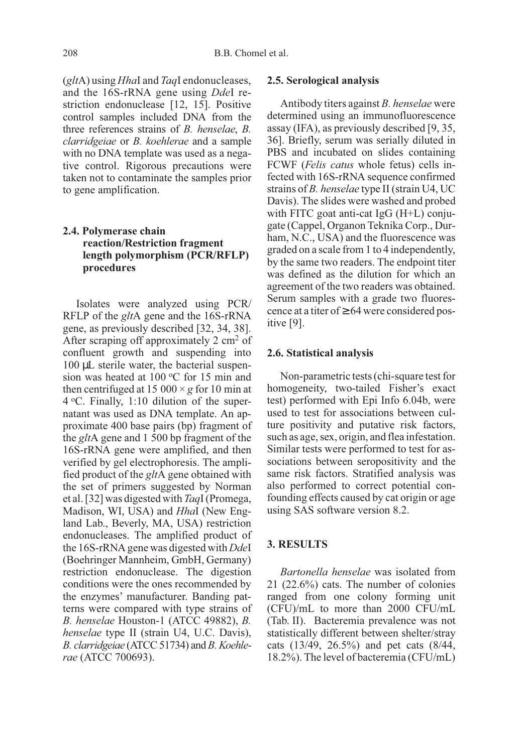$(gltA)$  using *HhaI* and *TaqI* endonucleases, and the 16S-rRNA gene using DdeI restriction endonuclease [12, 15]. Positive control samples included DNA from the three references strains of B. henselae, B. clarridgeiae or B. koehlerae and a sample with no DNA template was used as a negative control. Rigorous precautions were taken not to contaminate the samples prior to gene amplification.

# 2.4. Polymerase chain reaction/Restriction fragment length polymorphism (PCR/RFLP) procedures

Isolates were analyzed using PCR/ RFLP of the gltA gene and the 16S-rRNA gene, as previously described [32, 34, 38]. After scraping off approximately 2 cm<sup>2</sup> of confluent growth and suspending into 100 µL sterile water, the bacterial suspension was heated at 100  $\mathrm{^{\circ}C}$  for 15 min and then centrifuged at 15 000  $\times$  g for 10 min at  $4^{\circ}$ C. Finally, 1:10 dilution of the supernatant was used as DNA template. An approximate 400 base pairs (bp) fragment of the gltA gene and 1 500 bp fragment of the 16S-rRNA gene were amplified, and then verified by gel electrophoresis. The amplified product of the gltA gene obtained with the set of primers suggested by Norman et al. [32] was digested with TaqI (Promega, Madison, WI, USA) and HhaI (New England Lab., Beverly, MA, USA) restriction endonucleases. The amplified product of the 16S-rRNA gene was digested with DdeI (Boehringer Mannheim, GmbH, Germany) restriction endonuclease. The digestion conditions were the ones recommended by the enzymes' manufacturer. Banding patterns were compared with type strains of B. henselae Houston-1 (ATCC 49882), B. henselae type II (strain U4, U.C. Davis), B. clarridgeiae (ATCC 51734) and B. Koehlerae (ATCC 700693).

#### 2.5. Serological analysis

Antibody titers against B. henselae were determined using an immunofluorescence assay (IFA), as previously described [9, 35, 36]. Briefly, serum was serially diluted in PBS and incubated on slides containing FCWF (*Felis catus* whole fetus) cells infected with 16S-rRNA sequence confirmed strains of B. henselae type II (strain U4, UC Davis). The slides were washed and probed with FITC goat anti-cat IgG (H+L) conjugate (Cappel, Organon Teknika Corp., Durham, N.C., USA) and the fluorescence was graded on a scale from 1 to 4 independently, by the same two readers. The endpoint titer was defined as the dilution for which an agreement of the two readers was obtained. Serum samples with a grade two fluorescence at a titer of  $\geq 64$  were considered positive [9].

#### 2.6. Statistical analysis

Non-parametric tests (chi-square test for homogeneity, two-tailed Fisher's exact test) performed with Epi Info 6.04b, were used to test for associations between culture positivity and putative risk factors, such as age, sex, origin, and flea infestation. Similar tests were performed to test for associations between seropositivity and the same risk factors. Stratified analysis was also performed to correct potential confounding effects caused by cat origin or age using SAS software version 8.2.

# 3. RESULTS

Bartonella henselae was isolated from 21 (22.6%) cats. The number of colonies ranged from one colony forming unit (CFU)/mL to more than 2000 CFU/mL (Tab. II). Bacteremia prevalence was not statistically different between shelter/stray cats (13/49, 26.5%) and pet cats (8/44, 18.2%). The level of bacteremia (CFU/mL)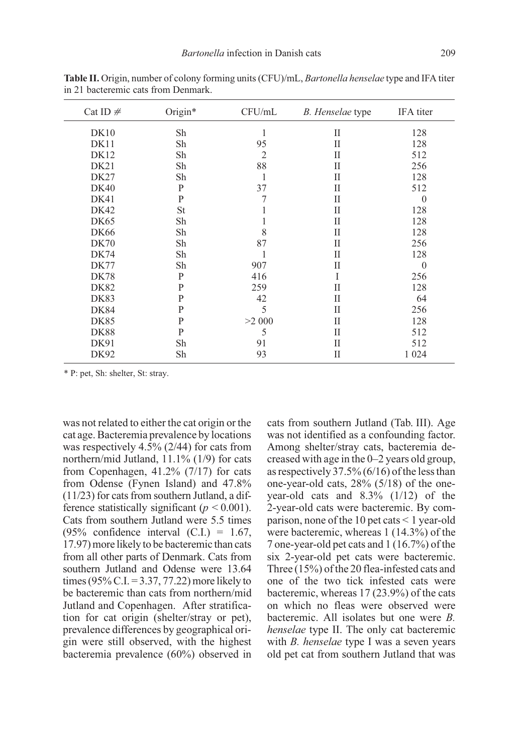| Cat ID $#$  | Origin*   | CFU/mL         | B. Henselae type | IFA titer |
|-------------|-----------|----------------|------------------|-----------|
| DK10        | Sh        | 1              | П                | 128       |
| DK11        | Sh        | 95             | П                | 128       |
| DK12        | Sh        | $\overline{2}$ | П                | 512       |
| DK21        | Sh        | 88             | П                | 256       |
| DK27        | Sh        | 1              | П                | 128       |
| <b>DK40</b> | P         | 37             | H                | 512       |
| DK41        | P         | 7              | П                | $\theta$  |
| DK42        | <b>St</b> | 1              | П                | 128       |
| DK65        | Sh        | 1              | H                | 128       |
| <b>DK66</b> | Sh        | 8              | H                | 128       |
| DK70        | Sh        | 87             | H                | 256       |
| <b>DK74</b> | Sh        | 1              | П                | 128       |
| DK77        | Sh        | 907            | H                | $\theta$  |
| <b>DK78</b> | P         | 416            | I                | 256       |
| DK82        | P         | 259            | H                | 128       |
| <b>DK83</b> | P         | 42             | H                | 64        |
| <b>DK84</b> | P         | 5              | H                | 256       |
| <b>DK85</b> | P         | >2000          | H                | 128       |
| <b>DK88</b> | P         | 5              | П                | 512       |
| DK91        | Sh        | 91             | H                | 512       |
| DK92        | Sh        | 93             | П                | 1 0 2 4   |

Table II. Origin, number of colony forming units (CFU)/mL, Bartonella henselae type and IFA titer in 21 bacteremic cats from Denmark.

\* P: pet, Sh: shelter, St: stray.

was not related to either the cat origin or the cat age. Bacteremia prevalence by locations was respectively 4.5% (2/44) for cats from northern/mid Jutland, 11.1% (1/9) for cats from Copenhagen,  $41.2\%$  (7/17) for cats from Odense (Fynen Island) and 47.8% (11/23) for cats from southern Jutland, a difference statistically significant ( $p < 0.001$ ). Cats from southern Jutland were 5.5 times (95% confidence interval  $(C.I.) = 1.67$ , 17.97) more likely to be bacteremic than cats from all other parts of Denmark. Cats from southern Jutland and Odense were 13.64 times (95% C.I. = 3.37, 77.22) more likely to be bacteremic than cats from northern/mid Jutland and Copenhagen. After stratification for cat origin (shelter/stray or pet), prevalence differences by geographical origin were still observed, with the highest bacteremia prevalence (60%) observed in cats from southern Jutland (Tab. III). Age was not identified as a confounding factor. Among shelter/stray cats, bacteremia decreased with age in the 0–2 years old group, as respectively 37.5%  $(6/16)$  of the less than one-year-old cats, 28% (5/18) of the oneyear-old cats and 8.3% (1/12) of the 2-year-old cats were bacteremic. By comparison, none of the 10 pet cats < 1 year-old were bacteremic, whereas 1 (14.3%) of the 7 one-year-old pet cats and 1 (16.7%) of the six 2-year-old pet cats were bacteremic. Three (15%) of the 20 flea-infested cats and one of the two tick infested cats were bacteremic, whereas 17 (23.9%) of the cats on which no fleas were observed were bacteremic. All isolates but one were B. henselae type II. The only cat bacteremic with *B. henselae* type I was a seven years old pet cat from southern Jutland that was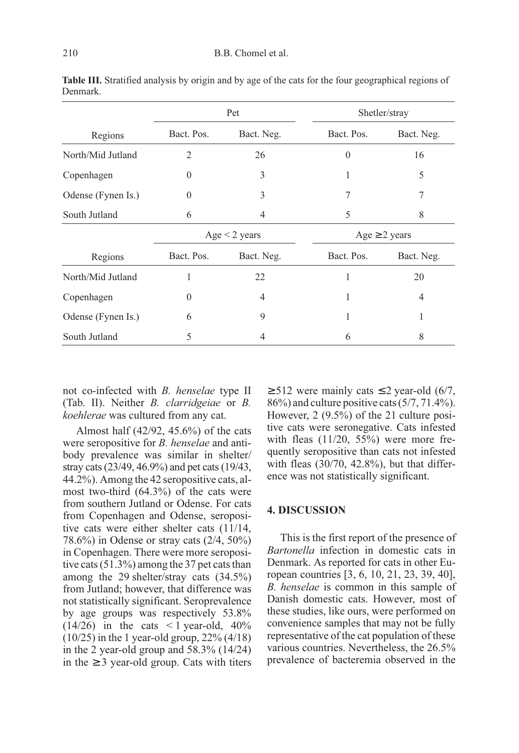|                    |                    | Pet        | Shetler/stray      |            |  |
|--------------------|--------------------|------------|--------------------|------------|--|
| Regions            | Bact. Pos.         | Bact. Neg. | Bact. Pos.         | Bact. Neg. |  |
| North/Mid Jutland  | 2                  | 26         | $\theta$           | 16         |  |
| Copenhagen         | $\theta$           | 3          | 1                  | 5          |  |
| Odense (Fynen Is.) | $\theta$           | 3          | 7                  | 7          |  |
| South Jutland      | 6                  | 4          | 5                  | 8          |  |
|                    | Age $\leq$ 2 years |            | Age $\geq$ 2 years |            |  |
| Regions            | Bact. Pos.         | Bact. Neg. | Bact. Pos.         | Bact. Neg. |  |
| North/Mid Jutland  | 1                  | 22         | 1                  | 20         |  |
| Copenhagen         | $\theta$           | 4          | 1                  | 4          |  |
| Odense (Fynen Is.) | 6                  | 9          |                    | 1          |  |
| South Jutland      | 5                  | 4          | 6                  | 8          |  |

Table III. Stratified analysis by origin and by age of the cats for the four geographical regions of Denmark.

not co-infected with B. henselae type II (Tab. II). Neither B. clarridgeiae or B. koehlerae was cultured from any cat.

Almost half (42/92, 45.6%) of the cats were seropositive for *B*. henselae and antibody prevalence was similar in shelter/ stray cats (23/49, 46.9%) and pet cats (19/43, 44.2%). Among the 42 seropositive cats, almost two-third (64.3%) of the cats were from southern Jutland or Odense. For cats from Copenhagen and Odense, seropositive cats were either shelter cats (11/14, 78.6%) in Odense or stray cats (2/4, 50%) in Copenhagen. There were more seropositive cats (51.3%) among the 37 pet cats than among the 29 shelter/stray cats (34.5%) from Jutland; however, that difference was not statistically significant. Seroprevalence by age groups was respectively 53.8%  $(14/26)$  in the cats  $\leq 1$  year-old, 40%  $(10/25)$  in the 1 year-old group, 22%  $(4/18)$ in the 2 year-old group and 58.3% (14/24) in the ≥ 3 year-old group. Cats with titers  $≥ 512$  were mainly cats ≤ 2 year-old (6/7, 86%) and culture positive cats (5/7, 71.4%). However, 2 (9.5%) of the 21 culture positive cats were seronegative. Cats infested with fleas  $(11/20, 55%)$  were more frequently seropositive than cats not infested with fleas (30/70, 42.8%), but that difference was not statistically significant.

## 4. DISCUSSION

This is the first report of the presence of Bartonella infection in domestic cats in Denmark. As reported for cats in other European countries [3, 6, 10, 21, 23, 39, 40], B. henselae is common in this sample of Danish domestic cats. However, most of these studies, like ours, were performed on convenience samples that may not be fully representative of the cat population of these various countries. Nevertheless, the 26.5% prevalence of bacteremia observed in the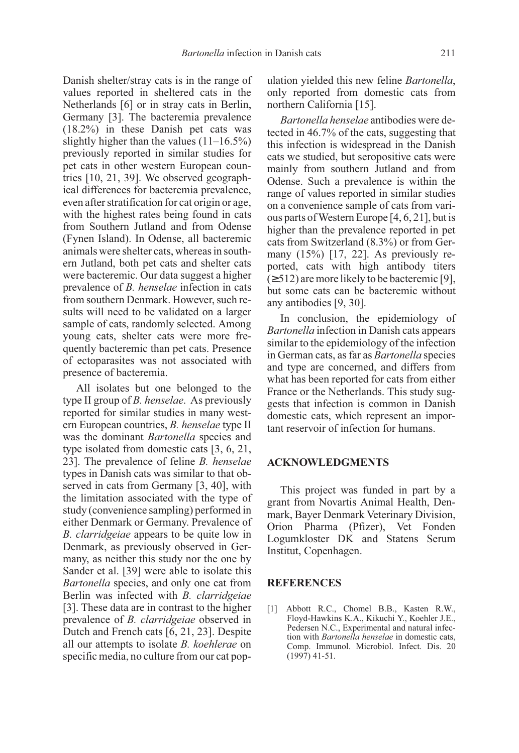Danish shelter/stray cats is in the range of values reported in sheltered cats in the Netherlands [6] or in stray cats in Berlin, Germany [3]. The bacteremia prevalence (18.2%) in these Danish pet cats was slightly higher than the values (11–16.5%) previously reported in similar studies for pet cats in other western European countries [10, 21, 39]. We observed geographical differences for bacteremia prevalence, even after stratification for cat origin or age, with the highest rates being found in cats from Southern Jutland and from Odense (Fynen Island). In Odense, all bacteremic animals were shelter cats, whereas in southern Jutland, both pet cats and shelter cats were bacteremic. Our data suggest a higher prevalence of B. henselae infection in cats from southern Denmark. However, such results will need to be validated on a larger sample of cats, randomly selected. Among young cats, shelter cats were more frequently bacteremic than pet cats. Presence of ectoparasites was not associated with presence of bacteremia.

All isolates but one belonged to the type II group of B. henselae. As previously reported for similar studies in many western European countries, B. henselae type II was the dominant Bartonella species and type isolated from domestic cats [3, 6, 21, 23]. The prevalence of feline B. henselae types in Danish cats was similar to that observed in cats from Germany [3, 40], with the limitation associated with the type of study (convenience sampling) performed in either Denmark or Germany. Prevalence of B. clarridgeiae appears to be quite low in Denmark, as previously observed in Germany, as neither this study nor the one by Sander et al. [39] were able to isolate this Bartonella species, and only one cat from Berlin was infected with B. clarridgeiae [3]. These data are in contrast to the higher prevalence of B. clarridgeiae observed in Dutch and French cats [6, 21, 23]. Despite all our attempts to isolate B. koehlerae on specific media, no culture from our cat population yielded this new feline Bartonella, only reported from domestic cats from northern California [15].

Bartonella henselae antibodies were detected in 46.7% of the cats, suggesting that this infection is widespread in the Danish cats we studied, but seropositive cats were mainly from southern Jutland and from Odense. Such a prevalence is within the range of values reported in similar studies on a convenience sample of cats from various parts of Western Europe [4, 6, 21], but is higher than the prevalence reported in pet cats from Switzerland (8.3%) or from Germany (15%) [17, 22]. As previously reported, cats with high antibody titers  $(\geq 512)$  are more likely to be bacteremic [9], but some cats can be bacteremic without any antibodies [9, 30].

In conclusion, the epidemiology of Bartonella infection in Danish cats appears similar to the epidemiology of the infection in German cats, as far as Bartonella species and type are concerned, and differs from what has been reported for cats from either France or the Netherlands. This study suggests that infection is common in Danish domestic cats, which represent an important reservoir of infection for humans.

## ACKNOWLEDGMENTS

This project was funded in part by a grant from Novartis Animal Health, Denmark, Bayer Denmark Veterinary Division, Orion Pharma (Pfizer), Vet Fonden Logumkloster DK and Statens Serum Institut, Copenhagen.

#### **REFERENCES**

[1] Abbott R.C., Chomel B.B., Kasten R.W., Floyd-Hawkins K.A., Kikuchi Y., Koehler J.E., Pedersen N.C., Experimental and natural infection with Bartonella henselae in domestic cats, Comp. Immunol. Microbiol. Infect. Dis. 20 (1997) 41-51.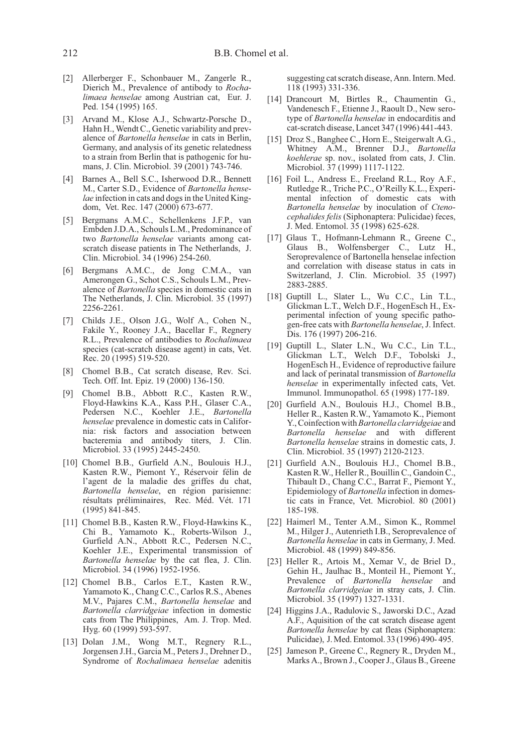- [2] Allerberger F., Schonbauer M., Zangerle R., Dierich M., Prevalence of antibody to Rochalimaea henselae among Austrian cat, Eur. J. Ped. 154 (1995) 165.
- [3] Arvand M., Klose A.J., Schwartz-Porsche D., Hahn H., Wendt C., Genetic variability and prevalence of Bartonella henselae in cats in Berlin, Germany, and analysis of its genetic relatedness to a strain from Berlin that is pathogenic for humans, J. Clin. Microbiol. 39 (2001) 743-746.
- [4] Barnes A., Bell S.C., Isherwood D.R., Bennett M., Carter S.D., Evidence of Bartonella henselae infection in cats and dogs in the United Kingdom, Vet. Rec. 147 (2000) 673-677.
- [5] Bergmans A.M.C., Schellenkens J.F.P., van Embden J.D.A., Schouls L.M., Predominance of two Bartonella henselae variants among catscratch disease patients in The Netherlands, J. Clin. Microbiol. 34 (1996) 254-260.
- [6] Bergmans A.M.C., de Jong C.M.A., van Amerongen G., Schot C.S., Schouls L.M., Prevalence of Bartonella species in domestic cats in The Netherlands, J. Clin. Microbiol. 35 (1997) 2256-2261.
- [7] Childs J.E., Olson J.G., Wolf A., Cohen N., Fakile Y., Rooney J.A., Bacellar F., Regnery R.L., Prevalence of antibodies to Rochalimaea species (cat-scratch disease agent) in cats, Vet. Rec. 20 (1995) 519-520.
- [8] Chomel B.B., Cat scratch disease, Rev. Sci. Tech. Off. Int. Epiz. 19 (2000) 136-150.
- [9] Chomel B.B., Abbott R.C., Kasten R.W., Floyd-Hawkins K.A., Kass P.H., Glaser C.A., Pedersen N.C., Koehler J.E., Bartonella henselae prevalence in domestic cats in California: risk factors and association between bacteremia and antibody titers, J. Clin. Microbiol. 33 (1995) 2445-2450.
- [10] Chomel B.B., Gurfield A.N., Boulouis H.J., Kasten R.W., Piemont Y., Réservoir félin de l'agent de la maladie des griffes du chat, Bartonella henselae, en région parisienne: résultats préliminaires, Rec. Méd. Vét. 171 (1995) 841-845.
- [11] Chomel B.B., Kasten R.W., Floyd-Hawkins K., Chi B., Yamamoto K., Roberts-Wilson J., Gurfield A.N., Abbott R.C., Pedersen N.C., Koehler J.E., Experimental transmission of Bartonella henselae by the cat flea, J. Clin. Microbiol. 34 (1996) 1952-1956.
- [12] Chomel B.B., Carlos E.T., Kasten R.W., Yamamoto K., Chang C.C., Carlos R.S., Abenes M.V., Pajares C.M., Bartonella henselae and Bartonella clarridgeiae infection in domestic cats from The Philippines, Am. J. Trop. Med. Hyg. 60 (1999) 593-597.
- [13] Dolan J.M., Wong M.T., Regnery R.L., Jorgensen J.H., Garcia M., Peters J., Drehner D., Syndrome of Rochalimaea henselae adenitis

suggesting cat scratch disease, Ann. Intern. Med. 118 (1993) 331-336.

- [14] Drancourt M, Birtles R., Chaumentin G., Vandenesch F., Etienne J., Raoult D., New serotype of Bartonella henselae in endocarditis and cat-scratch disease, Lancet 347 (1996) 441-443.
- [15] Droz S., Banghee C., Horn E., Steigerwalt A.G., Whitney A.M., Brenner D.J., Bartonella koehlerae sp. nov., isolated from cats, J. Clin. Microbiol. 37 (1999) 1117-1122.
- [16] Foil L., Andress E., Freeland R.L., Roy A.F., Rutledge R., Triche P.C., O'Reilly K.L., Experimental infection of domestic cats with Bartonella henselae by inoculation of Ctenocephalides felis (Siphonaptera: Pulicidae) feces, J. Med. Entomol. 35 (1998) 625-628.
- [17] Glaus T., Hofmann-Lehmann R., Greene C., Glaus B., Wolfensberger C., Lutz H., Seroprevalence of Bartonella henselae infection and correlation with disease status in cats in Switzerland, J. Clin. Microbiol. 35 (1997) 2883-2885.
- [18] Guptill L., Slater L., Wu C.C., Lin T.L., Glickman L.T., Welch D.F., HogenEsch H., Experimental infection of young specific pathogen-free cats with Bartonella henselae, J. Infect. Dis. 176 (1997) 206-216.
- [19] Guptill L., Slater L.N., Wu C.C., Lin T.L., Glickman L.T., Welch D.F., Tobolski J., HogenEsch H., Evidence of reproductive failure and lack of perinatal transmission of Bartonella henselae in experimentally infected cats, Vet. Immunol. Immunopathol. 65 (1998) 177-189.
- [20] Gurfield A.N., Boulouis H.J., Chomel B.B., Heller R., Kasten R.W., Yamamoto K., Piemont Y., Coinfection with Bartonella clarridgeiae and Bartonella henselae and with different Bartonella henselae strains in domestic cats, J. Clin. Microbiol. 35 (1997) 2120-2123.
- [21] Gurfield A.N., Boulouis H.J., Chomel B.B., Kasten R.W., Heller R., Bouillin C., Gandoin C., Thibault D., Chang C.C., Barrat F., Piemont Y., Epidemiology of Bartonella infection in domestic cats in France, Vet. Microbiol. 80 (2001) 185-198.
- [22] Haimerl M., Tenter A.M., Simon K., Rommel M., Hilger J., Autenrieth I.B., Seroprevalence of Bartonella henselae in cats in Germany, J. Med. Microbiol. 48 (1999) 849-856.
- [23] Heller R., Artois M., Xemar V., de Briel D., Gehin H., Jaulhac B., Monteil H., Piemont Y., Prevalence of Bartonella henselae and Bartonella clarridgeiae in stray cats, J. Clin. Microbiol. 35 (1997) 1327-1331.
- [24] Higgins J.A., Radulovic S., Jaworski D.C., Azad A.F., Aquisition of the cat scratch disease agent Bartonella henselae by cat fleas (Siphonaptera: Pulicidae), J. Med. Entomol. 33 (1996) 490- 495.
- [25] Jameson P., Greene C., Regnery R., Dryden M., Marks A., Brown J., Cooper J., Glaus B., Greene